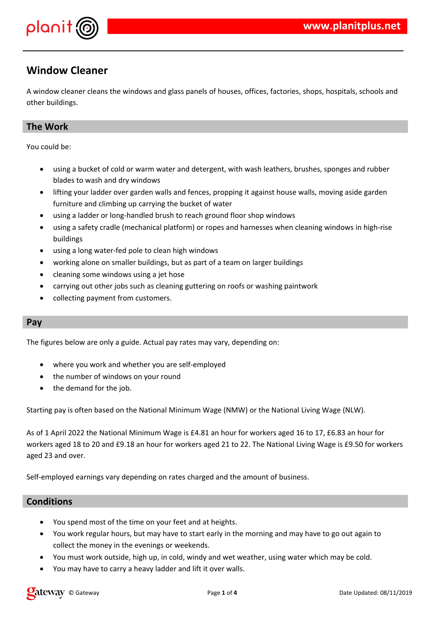

# **Window Cleaner**

A window cleaner cleans the windows and glass panels of houses, offices, factories, shops, hospitals, schools and other buildings.

## **The Work**

You could be:

- using a bucket of cold or warm water and detergent, with wash leathers, brushes, sponges and rubber blades to wash and dry windows
- lifting your ladder over garden walls and fences, propping it against house walls, moving aside garden furniture and climbing up carrying the bucket of water
- using a ladder or long-handled brush to reach ground floor shop windows
- using a safety cradle (mechanical platform) or ropes and harnesses when cleaning windows in high-rise buildings
- using a long water-fed pole to clean high windows
- working alone on smaller buildings, but as part of a team on larger buildings
- cleaning some windows using a jet hose
- carrying out other jobs such as cleaning guttering on roofs or washing paintwork
- collecting payment from customers.

### **Pay**

The figures below are only a guide. Actual pay rates may vary, depending on:

- where you work and whether you are self-employed
- the number of windows on your round
- the demand for the job.

Starting pay is often based on the National Minimum Wage (NMW) or the National Living Wage (NLW).

As of 1 April 2022 the National Minimum Wage is £4.81 an hour for workers aged 16 to 17, £6.83 an hour for workers aged 18 to 20 and £9.18 an hour for workers aged 21 to 22. The National Living Wage is £9.50 for workers aged 23 and over.

Self-employed earnings vary depending on rates charged and the amount of business.

### **Conditions**

- You spend most of the time on your feet and at heights.
- You work regular hours, but may have to start early in the morning and may have to go out again to collect the money in the evenings or weekends.
- You must work outside, high up, in cold, windy and wet weather, using water which may be cold.
- You may have to carry a heavy ladder and lift it over walls.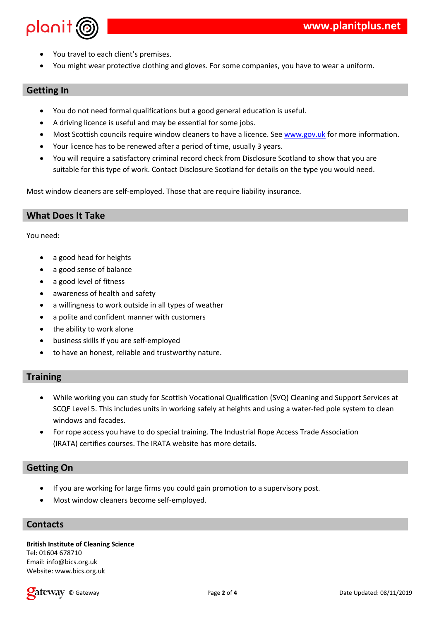|      | $\infty$<br>#<br>$\#$<br>%                                                  | $\&$                                           | $\%$ "<br>$7\overline{ }$                                                                                        | $\boldsymbol{\alpha}$<br>" 8                                                                                                                                                                                      | %                      | %                                        | $\&$               | $\%$ "                                                                                           |
|------|-----------------------------------------------------------------------------|------------------------------------------------|------------------------------------------------------------------------------------------------------------------|-------------------------------------------------------------------------------------------------------------------------------------------------------------------------------------------------------------------|------------------------|------------------------------------------|--------------------|--------------------------------------------------------------------------------------------------|
|      | $\#$<br>$\&$<br>$\overline{\phantom{a}}$<br>×,<br>$\#$<br>$\#$<br>Ţ         | $\%$<br>Ţ<br>$\boldsymbol{9}$<br>$\frac{1}{6}$ | $9^{\circ}$<br>$\sim$ 1<br>$\%$<br>$\mathbf{I}$<br>$\boldsymbol{9}$<br>$\%$<br>$\mathsf{\$}$ "<br>Ħ<br>$\ddot{}$ | $\% *$ !<br>$\alpha$<br>%<br>$\boldsymbol{\mathsf{S}}$<br>$\, ,$<br>$\boldsymbol{9}$                                                                                                                              | $\blacksquare$<br>$\%$ | $\mathbf H$<br>5<br>$\,$<br>$\mathbf{I}$ | H.<br>$\mathbf{H}$ | "%&"<br>$\%$<br>$\sqrt[6]{\frac{1}{2}}$<br>$\pmb{\mathsf{H}}$<br>$\textcolor{red}{\blacksquare}$ |
| $\#$ | $\&$                                                                        | I                                              |                                                                                                                  |                                                                                                                                                                                                                   |                        |                                          |                    |                                                                                                  |
|      | Ţ<br>\$<br>Ţ<br>$\&$                                                        | \$<br>$\%$<br>$\sqrt[6]{\frac{1}{2}}$          | $^{\prime}$ %                                                                                                    | $\%$<br>H.                                                                                                                                                                                                        |                        |                                          |                    |                                                                                                  |
|      | $8\overline{)}$<br>$(=> + )$                                                |                                                |                                                                                                                  | & $" = +$ > +<br>" + = $\frac{9}{6} +$ ! "                                                                                                                                                                        |                        |                                          |                    |                                                                                                  |
|      | $\equiv$ 100 $\pm$ 100 $\pm$<br>$\mathbf{z} = \mathbf{z} \times \mathbf{z}$ | $\sim 1$                                       |                                                                                                                  | $\begin{array}{ccccccccccc}\n\$ & & & \% & & \% & & \& & & \n\end{array}$ . $\begin{array}{ccccccccccc}\n\% & & & \% & & \& & & \n\end{array}$ . $\begin{array}{ccccccccccc}\n\% & & & \% & & \& & \n\end{array}$ |                        |                                          |                    |                                                                                                  |

 $33424$ <br>  $@!$  "\$<br>
"! "\$  $+$ <br>? %<br>/ !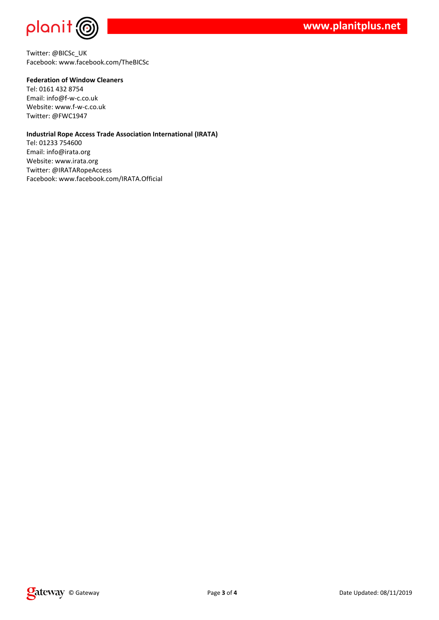

Twitter: @BICSc\_UK Facebook: www.facebook.com/TheBICSc

#### **Federation of Window Cleaners**

Tel: 0161 432 8754 Email: info@f-w-c.co.uk Website: www.f-w-c.co.uk Twitter: @FWC1947

#### **Industrial Rope Access Trade Association International (IRATA)**

Tel: 01233 754600 Email: info@irata.org Website: www.irata.org Twitter: @IRATARopeAccess Facebook: www.facebook.com/IRATA.Official